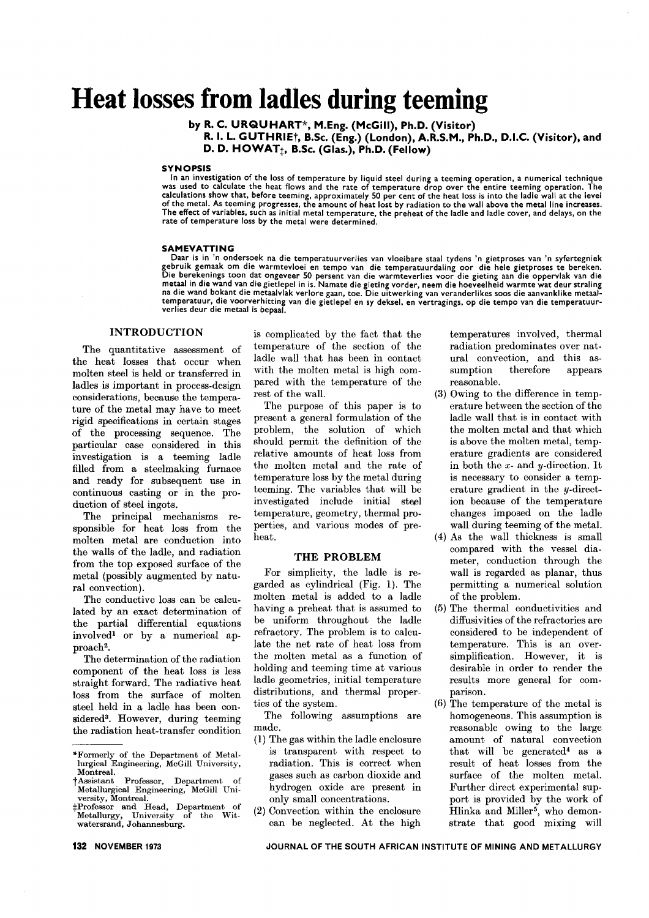# **Heat losses from ladles during teeming**

by R. C. URQUHART\*, M.Eng. (McGiII), Ph.D. (Visitor) R. I. L. GUTHRIEt, B.Sc. (Eng.) (London), A.R.S.M., Ph.D., D.I.C. (Visitor), and D. D.  $HOWAT_{\dagger}$ , B.Sc. (Glas.), Ph.D. (Fellow)

#### **SYNOPSIS**

In an investigation of the loss of temperature by liquid steel during a teeming operation, a numerical technique was used to calculate the heat flows and the rate of temperature drop over the entire teeming operation. The<br>calculations show that, before teeming, approximately 50 per cent of the heat loss is into the ladle wall at the of the metal. As teeming progresses, the amount of heat lost by radiation to the wall above the metalline increases. The effect of variables, such as initial metal temperature, the preheat of the ladle and ladle cover, and delays, on the rate of temperature loss by the metal were determined.

#### SAMEVATTING

Daar is in 'n ondersoek na die temperatuurverlies van vloeibare staal tydens 'n gietproses van 'n syfertegniek<br>gebruik gemaak om die warmtevloei en tempo van die temperatuurdaling oor die hele gietproses te bereken.<br>Die be metaal in die wand van die gietlepel in is. Namate die gieting vorder, neem die hoeveelheid warmte wat deur stralin<br>na die wand bokant die metaalvlak verlore gaan, toe. Die uitwerking van veranderlikes soos die aanvanklike temperatuur, die voorverhitting van die gietlepel en sy deksel, en vertragings, op die tempo van die temperatuurverlies deur die metaal is bepaal.

### INTRODUCTION

The quantitative assessment of the heat losses that occur when molten steel is held or transferred in ladles is important in process-design considerations, because the temperature of the metal may have to meet rigid specifications in certain stages of the processing sequence. The particular case considered in this investigation is a teeming ladle filled from a steelmaking furnace and ready for subsequent use in continuous casting or in the production of steel ingots.

The principal mechanisms responsible for heat loss from the molten metal are conduction into the walls of the ladle, and radiation from the top exposed surface of the metal (possibly augmented by natural convection).

The conductive loss can be calculated by an exact determination of the partial differential equations involved1 or by a numerical approach<sup>2</sup>.

The determination of the radiation component of the heat loss is less straight forward. The radiative heat loss from the surface of molten steel held in a ladle has been considered3. However, during teeming the radiation heat-transfer condition is complicated by the fact that the temperature of the section of the ladle wall that has been in contact with the molten metal is high compared with the temperature of the rest of the wall.

The purpose of this paper is to present a general formulation of the problem, the solution of which should permit the definition of the relative amounts of heat loss from the molten metal and the rate of temperature loss by the metal during teeming. The variables that will be investigated include initial steel temperature, geometry, thermal properties, and various modes of preheat.

#### THE PROBLEM

For simplicity, the ladle is regarded as cylindrical (Fig. 1). The molten metal is added to a ladle having a preheat that is assumed to be uniform throughout the ladle refractory. The problem is to calculate the net rate of heat loss from the molten metal as a function of holding and teeming time at various ladle geometries, initial temperature distributions, and thermal properties of the system.

The following assumptions are made.

- (1) The gas within the ladle enclosure is transparent with respect to radiation. This is correct when gases such as carbon dioxide and hydrogen oxide are present in only small concentrations.
- (2) Convection within the enclosure can be neglected. At the high

temperatures involved, thermal radiation predominates over natural convection, and this assumption therefore appears reasonable.

- (3) Owing to the difference in temperature between the section of the ladle wall that is in contact with the molten metal and that which is above the molten metal, temperature gradients are considered in both the *x-* and y-direction. It is necessary to consider a temperature gradient in the y-direction because of the temperature changes imposed on the ladle wall during teeming of the metal.
- (4) As the wall thickness is small compared with the vessel diameter, conduction through the wall is regarded as planar, thus permitting a numerical solution of the problem.
- (5) The thermal conductivities and diffusivities of the refractories are considered to be independent of temperature. This is an oversimplification. However, it is desirable in order to render the results more general for comparison.
- (6) The temperature of the metal is homogeneous. This assumption is reasonable owing to the large amount of natural convection that will be generated4 as a result of heat losses from the surface of the molten metal. Further direct experimental support is provided by the work of Hlinka and Miller<sup>5</sup>, who demonstrate that good mixing will

<sup>&</sup>quot;Formerly of the Department of Metallurgical Engineering, McGill University, Montreal.

tassistant Professor, Department Metallurgical Engineering, McGill University, Montreal.

<sup>:</sup>j:Professor and Head, Department of Metallurgy, University of the Wit-Metallurgy, University of the watersrand, Johannesburg.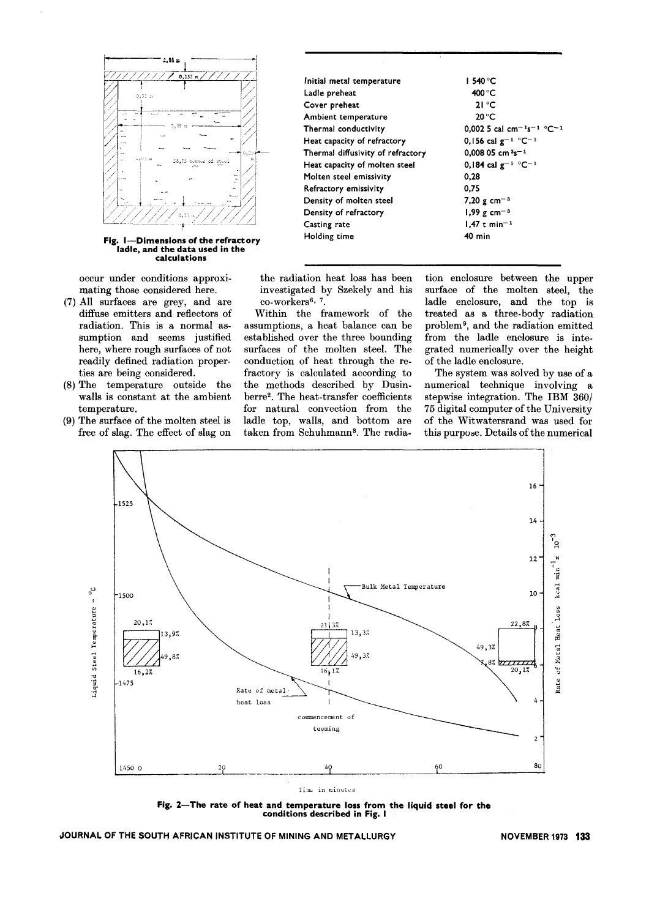

Fig. I-Dimensions of the refractory ladle, and the data used in the calculations

occur under conditions approximating those considered here.

- (7) All surfaces are grey, and are diffuse emitters and reflectors of radiation. This is a normal assumption and seems justified here, where rough surfaces of not readily defined radiation properties are being considered.
- (8) The temperature outside the walls is constant at the ambient temperature.
- (9) The surface of the molten steel is free of slag. The effect of slag on

| Initial metal temperature         | 1540 °C                                                       |
|-----------------------------------|---------------------------------------------------------------|
| Ladie preheat                     | 400 °C                                                        |
| Cover preheat                     | $21^{\circ}$ C                                                |
| Ambient temperature               | 20 °C                                                         |
| Thermal conductivity              | 0,002 5 cal cm <sup>-1</sup> s <sup>-1</sup> °C <sup>-2</sup> |
| Heat capacity of refractory       | 0,156 cal $g^{-1}$ °C <sup>-1</sup>                           |
| Thermal diffusivity of refractory | 0.008 05 cm $3s - 1$                                          |
| Heat capacity of molten steel     | 0,184 cal $g^{-1}$ °C <sup>-1</sup>                           |
| Molten steel emissivity           | 0,28                                                          |
| Refractory emissivity             | 0.75                                                          |
| Density of molten steel           | 7,20 g cm <sup>-3</sup>                                       |
| Density of refractory             | $1,99$ g cm <sup>-3</sup>                                     |
| Casting rate                      | $1,47$ t min <sup>-1</sup>                                    |
| Holding time                      | 40 min                                                        |
|                                   |                                                               |

the radiation heat loss has been investigated by Szekely and his co-workers<sup>6, 7</sup>.

Within the framework of the assumptions, a heat balance can be established over the three bounding surfaces of the molten steel. The conduction of heat through the refractory is calculated according to the methods described by Dusinberre2. The heat-transfer coefficients for natural convection from the ladle top, walls, and bottom are taken from Schuhmann<sup>8</sup>. The radia-

tion enclosure between the upper surface of the molten steel, the ladle enclosure, and the top is treated as a three-body radiation problem 9, and the radiation emitted from the ladle enclosure is integrated numerically over the height of the ladle enclosure.

The system was solved by use of a numerical technique involving a stepwise integration. The IBM 360/ 75 digital computer of the University of the Witwatersrand was used for this purpose. Details of the numerical



Fig. 2-The rate of heat and temperature loss from the liquid steel for the conditions described in Fig. I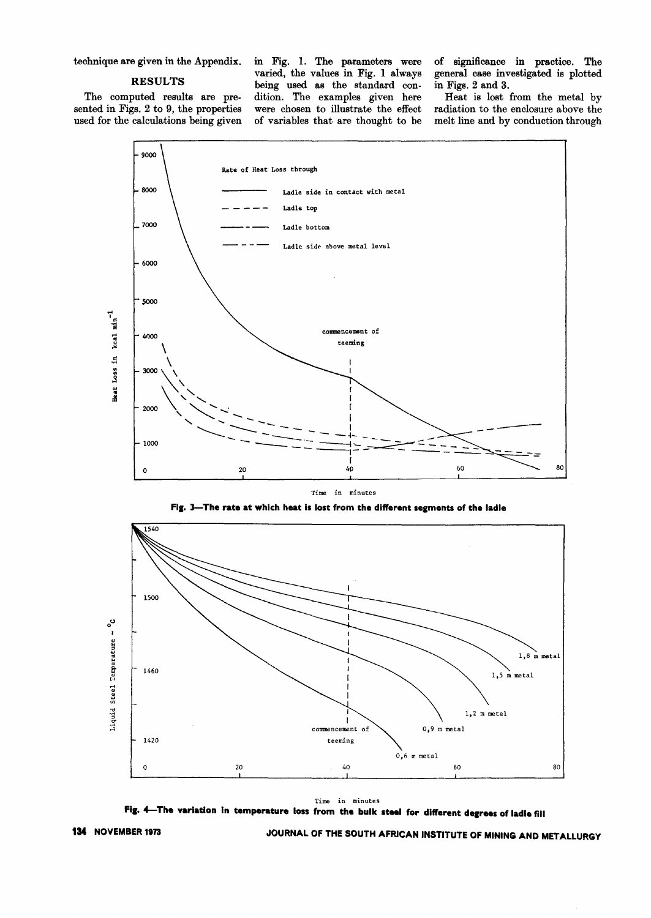technique are given in the Appendix.

#### **RESULTS**

The computed results are presented in Figs. 2 to 9, the properties used for the calculations being given in Fig. 1. The parameters were varied, the values in Fig. 1 always being used as the standard condition. The examples given here were chosen to illustrate the effect of variables that are thought to be

of significance in practice. The general case investigated is plotted in Figs. 2 and 3.

Heat is lost from the metal by radiation to the enclosure above the melt line and by conduction through



Time in minutes







Fig. 4-The variation in temperature loss from the bulk steel for different degrees of ladie fill

JOURNAL OF THE SOUTH AFRICAN INSTITUTE OF MINING AND METALLURGY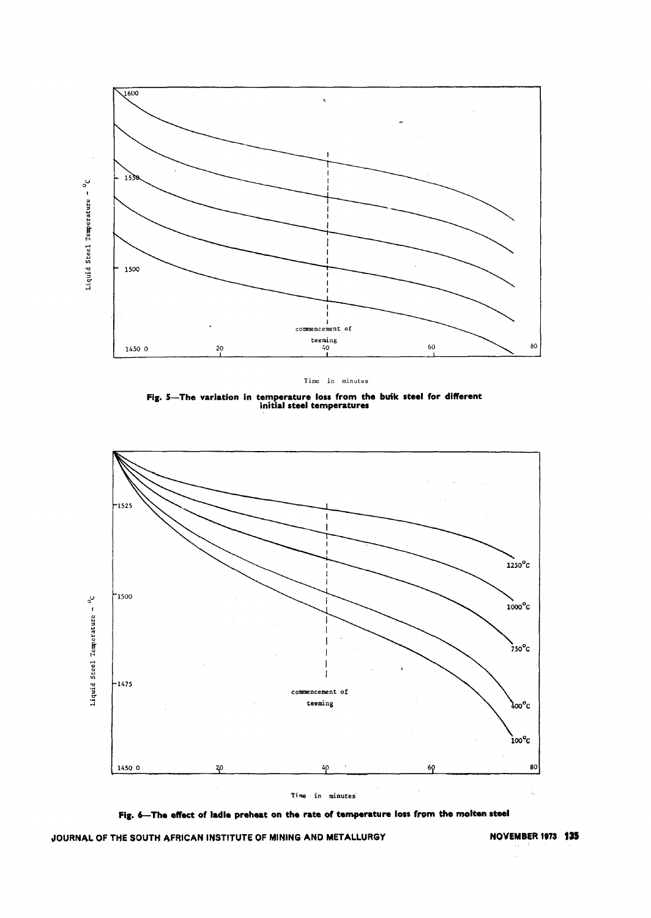

Time in minutes

Fig. 5-The variation in temperature loss from the buik steel for different<br>initial steel temperatures



Fig. 6-The effect of ladle preheat on the rate of temperature loss from the molten steel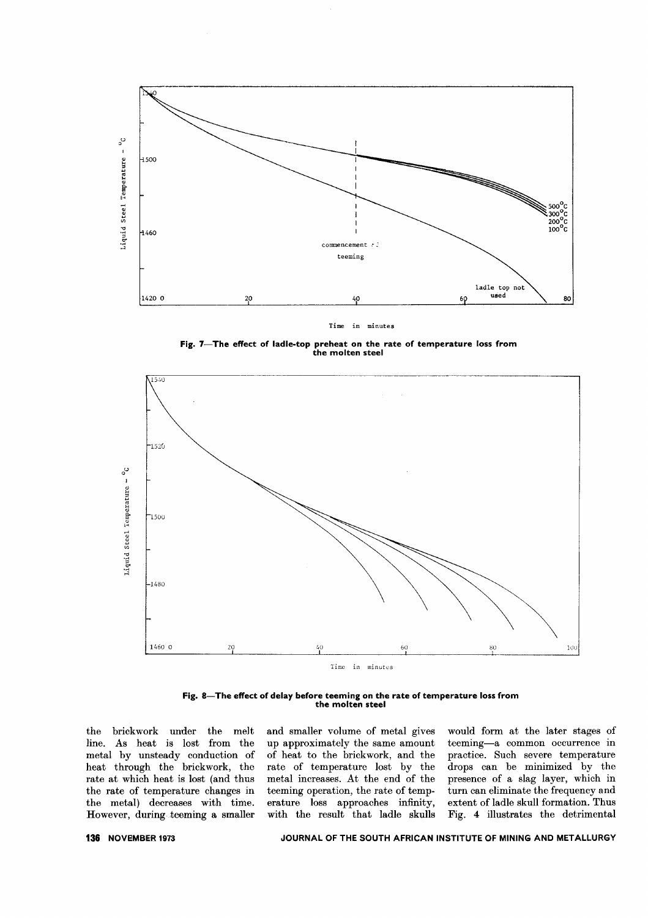

Time in minutes

**Fig. 7- The effect of ladle-top preheat on the rate of temperature 1055 from the molten steel**



**Fig. 8- The effect of delay before teeming on the rate of temperature 1055from the molten steel**

the brickwork under the melt line. As heat is lost from the metal by unsteady conduction of heat through the brickwork, the rate at which heat is lost (and thus the rate of temperature changes in the metal) decreases with time. However, during teeming a smaller and smaller volume of metal gives up approximately the same amount of heat to the brickwork, and the rate of temperature lost by the metal increases. At the end of the teeming operation, the rate of temperature loss approaches infinity, with the result that ladle skulls

would form at the later stages of teeming-a common occurrence in practice. Such severe temperature drops can be minimized by the presence of a slag layer, which in turn can eliminate the frequency and extent of ladle skull formation. Thus Fig. 4 illustrates the detrimental

#### **136 NOVEMBER 1973 JOURNAL OF THE SOUTH AFRICAN INSTITUTE OF MINING AND METALLURGY**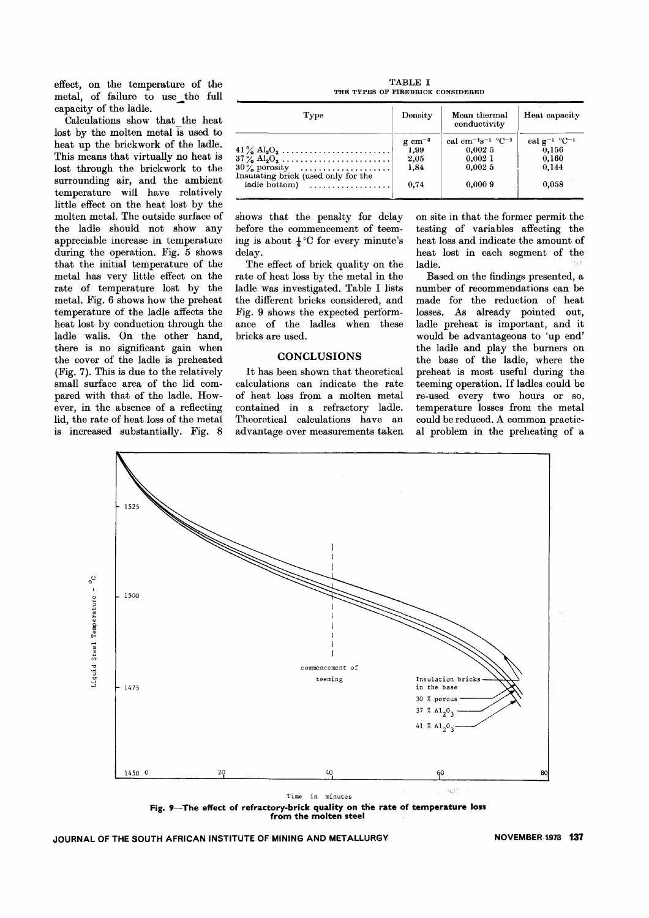effect, on the temperature of the metal, of failure to use the full capacity of the ladle.

Calculations show that the heat lost by the molten metal is used to heat up the brickwork of the ladle. This means that virtually no heat is lost through the brickwork to the surrounding air, and the ambient temperature will have relatively little effect on the heat lost by the molten metal. The outside surface of the ladle should not show any appreciable increase in temperature during the operation. Fig. 5 shows that the initial temperature of the metal has very little effect on the rate of temperature lost by the metal. Fig. 6 shows how the preheat temperature of the ladle affects the heat lost by conduction through the ladle walls. On the other hand, there is no significant gain when the cover of the ladle is preheated (Fig. 7). This is due to the relatively small surface area of the lid compared with that of the ladle. However, in the absence of a reflecting lid, the rate of heat loss of the metal is increased substantially. Fig. 8

TABLE I THE TYPES OF FIREBRICK CONSIDERED

| Type                                                               | Density             | Mean thermal<br>conductivity        | Heat capacity                          |
|--------------------------------------------------------------------|---------------------|-------------------------------------|----------------------------------------|
|                                                                    | $g \text{ cm}^{-3}$ | cal cm $^{-1}$ s $^{-1}$ °C $^{-1}$ | cal $g^{-1}$ °C <sup>-1</sup><br>0.156 |
| $41\%$ $Al_2O_3$<br>$37\frac{1}{6}$ Al <sub>2</sub> O <sub>3</sub> | 1,99<br>2.05        | 0.0025<br>0.0021                    | 0.160                                  |
| $30\frac{1}{2}$ porosity<br>Insulating brick (used only for the    | 1,84                | 0.0025                              | 0.144                                  |
| ladle bottom $\vert$ , , , ,                                       | 0.74                | 0.0009                              | 0.058                                  |

shows that the penalty for delay before the commencement of teeming is about  $\frac{1}{4}$ °C for every minute's delay.

The effect of brick quality on the rate of heat loss by the metal in the ladle was investigated. Table I lists the different bricks considered, and ,Fig. 9 shows the expected performance of the ladles when these bricks are used.

#### **CONCLUSIONS**

It has been shown that theoretical calculations can indicate the rate of heat loss from a molten metal contained in a refractory ladle. Theoretical calculations have an advantage over measurements taken

on site in that the former permit the testing of variables affecting the heat loss and indicate the amount of heat lost in each segment of the ladle.

Based on the findings presented, a number of recommendations can. be made for the reduction of heat losses. As already pointed out, ladle preheat is important, and it would be advantageous to 'up end' the ladle and play the burners on the base of the ladle, where the preheat is most useful during the teeming operation. If ladles could be re-used every two hours or so, temperature losses from the metal could be reduced. A common practical problem in the preheating of a



**Fig. 9- The effect of refractory-brick quality on the rate of temperature loss from the molten steel .**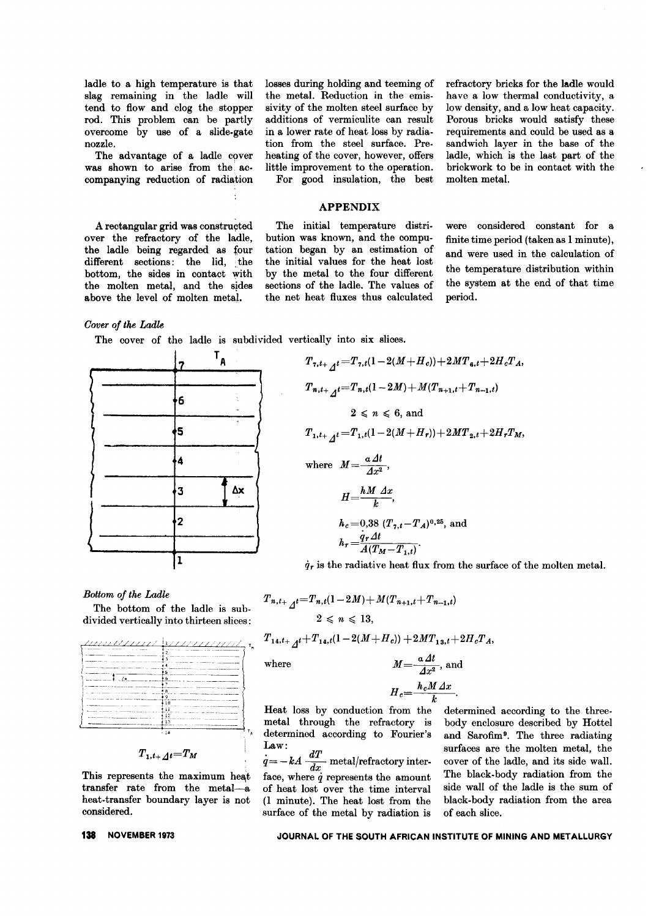ladle to a high temperature is that slag remaining in the ladle will tend to flow and clog the stopper rod. This problem can be partly overcome by use of a slide. gate nozzle.

The advantage of a ladle cover was shown to arise from the accompanying reduction of radiation

A rectangular grid was constructed over the refractory of the ladle, the ladle being regarded as four different sections: the lid, the bottom, the sides in contact with the molten metal, and the sides above the level of molten metal.

*Cover of tke Ladle*

The cover of the ladle is subdivided vertically into six slices.



*Bottom of tke Ladle*

The bottom of the ladle is subdivided vertically into thirteen slices:

|                                  | .                                                                                                                                                                                                                                                                                 |
|----------------------------------|-----------------------------------------------------------------------------------------------------------------------------------------------------------------------------------------------------------------------------------------------------------------------------------|
| momentum a                       |                                                                                                                                                                                                                                                                                   |
|                                  | the company of the contract of the company and                                                                                                                                                                                                                                    |
| <b>Construction Construction</b> | <b>Continued In the Continued Inc.</b><br>5                                                                                                                                                                                                                                       |
|                                  | ь                                                                                                                                                                                                                                                                                 |
|                                  |                                                                                                                                                                                                                                                                                   |
|                                  |                                                                                                                                                                                                                                                                                   |
|                                  | .                                                                                                                                                                                                                                                                                 |
|                                  |                                                                                                                                                                                                                                                                                   |
| With company of                  |                                                                                                                                                                                                                                                                                   |
|                                  | <b>Contract Contract Inc.</b><br><b><i><u>ALCOHOL: 12 AND 12 AND 12 AND 12 AND 12 AND 12 AND 12 AND 12 AND 12 AND 12 AND 12 AND 12 AND 12 AND 12 AND 12 AND 12 AND 12 AND 12 AND 12 AND 12 AND 12 AND 12 AND 12 AND 12 AND 12 AND 12 AND 12 AND 12 AND 12 AND 12 AND </u></i></b> |
|                                  |                                                                                                                                                                                                                                                                                   |

$$
\scriptstyle T_{1,t+}\scriptstyle\mathcal{A}t = T_M
$$

This represents the maximum heat transfer rate from the metal-a heat-transfer boundary layer is not considered.

#### losses during holding and teeming of the metal. Reduction in the emissivity of the molten steel surface by additions of vermiculite can result in a lower rate of heat loss by radiation from the steel surface. Preheating of the cover, however, offers little improvement to the operation. For good insulation, the best

refractory bricks for the ladle would have a low thermal conductivity, a low density, and a low heat capacity. Porous bricks would satisfy these requirements and could be used as a sandwich layer in the base of the ladle, which is the last part of the brickwork to be in contact with the molten metal.

#### **APPENDIX**

The initial temperature distribution was known, and the computation began by an estimation of the initial values for the heat lost by the metal to the four different sections of the ladle. The values of the net heat fluxes thus calculated

were considered constant for a finite time period (taken as 1 minute), and were used in the calculation of the temperature distribution within the system at the end of that time period.

$$
T_{7,t+}{}_{\mathcal{A}}t = T_{7,t}(1 - 2(M+H_c)) + 2MT_{6,t} + 2H_cT_A,
$$
  
\n
$$
T_{n,t+}{}_{\mathcal{A}}t = T_{n,t}(1 - 2M) + M(T_{n+1,t} + T_{n-1,t})
$$
  
\n
$$
2 \le n \le 6,
$$
 and  
\n
$$
T_{1,t+}{}_{\mathcal{A}}t = T_{1,t}(1 - 2(M+H_r)) + 2MT_{2,t} + 2H_rT_M,
$$
  
\nwhere 
$$
M = \frac{a \Delta t}{\Delta x^2},
$$
  
\n
$$
H = \frac{hM \Delta x}{k},
$$
  
\n
$$
h_c = 0,38 (T_{7,t} - T_A)^{0,25},
$$
 and  
\n
$$
h_r = \frac{q_r \Delta t}{A(T_M - T_{1,t})}.
$$

 $\dot{q}_r$  is the radiative heat flux from the surface of the molten metal.

$$
T_{n,t_{+}}{}_{\mathcal{A}}t = T_{n,t}(1 - 2M) + M(T_{n+1,t} + T_{n-1,t})
$$
  
\n
$$
2 \leq n \leq 13,
$$
  
\n
$$
T_{14,t_{+}}{}_{\mathcal{A}}t + T_{14,t}(1 - 2(M + H_c)) + 2MT_{13,t} + 2H_cT_A,
$$
  
\nwhere  
\n
$$
M = \frac{a \Delta t}{\Delta x^2},
$$
 and  
\n
$$
H_c = \frac{h_c M \Delta x}{k}.
$$

Heat loss by conduction from the determined according to the threemetal through the refractory is body enclosure described by Hottel determined according to Fourier's and Sarofim<sup>9</sup>. The three radiating

 $q=-kA\frac{dX}{dx}$  metal/refractory inter- cover of the ladle, and its side wall.  $(1 \text{ minute})$ . The heat lost from the surface of the metal by radiation is of each slice.

 $\lim_{n \to \infty} \frac{d}{dx}$   $\lim_{n \to \infty} \frac{d}{dx}$  surfaces are the molten metal, the face, where  $\dot{q}$  represents the amount The black-body radiation from the of heat lost over the time interval side wall of the ladle is the sum of of heat lost over the time interval side wall of the ladle is the sum of (1 minute). The heat lost from the black-body radiation from the area

### **138 NOVEMBER <sup>1973</sup> JOURNAL OF THE SOUTH AFRICAN INSTITUTE OF MINING AND METALLURGY**